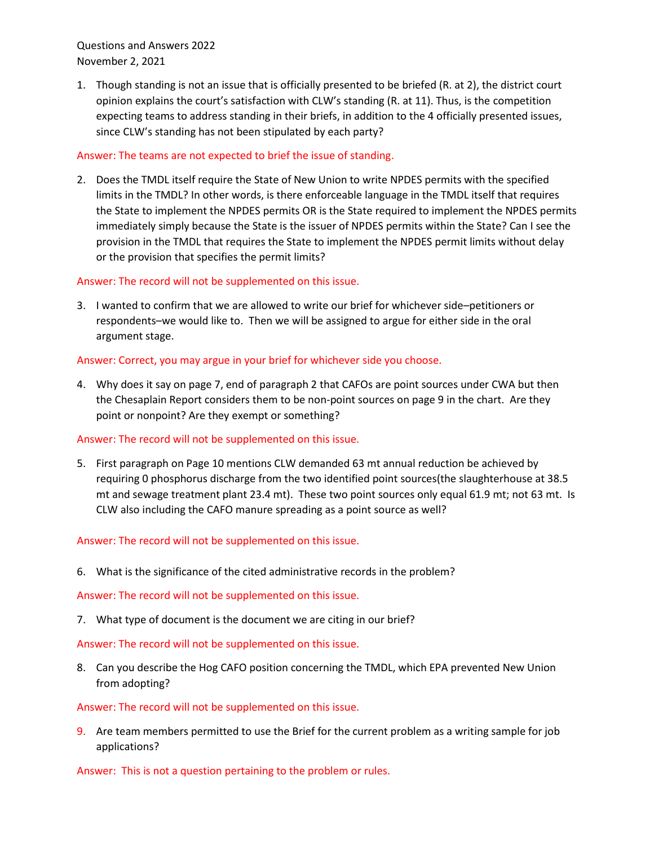Questions and Answers 2022 November 2, 2021

1. Though standing is not an issue that is officially presented to be briefed (R. at 2), the district court opinion explains the court's satisfaction with CLW's standing (R. at 11). Thus, is the competition expecting teams to address standing in their briefs, in addition to the 4 officially presented issues, since CLW's standing has not been stipulated by each party?

## Answer: The teams are not expected to brief the issue of standing.

2. Does the TMDL itself require the State of New Union to write NPDES permits with the specified limits in the TMDL? In other words, is there enforceable language in the TMDL itself that requires the State to implement the NPDES permits OR is the State required to implement the NPDES permits immediately simply because the State is the issuer of NPDES permits within the State? Can I see the provision in the TMDL that requires the State to implement the NPDES permit limits without delay or the provision that specifies the permit limits?

## Answer: The record will not be supplemented on this issue.

3. I wanted to confirm that we are allowed to write our brief for whichever side–petitioners or respondents–we would like to. Then we will be assigned to argue for either side in the oral argument stage.

## Answer: Correct, you may argue in your brief for whichever side you choose.

4. Why does it say on page 7, end of paragraph 2 that CAFOs are point sources under CWA but then the Chesaplain Report considers them to be non-point sources on page 9 in the chart. Are they point or nonpoint? Are they exempt or something?

## Answer: The record will not be supplemented on this issue.

5. First paragraph on Page 10 mentions CLW demanded 63 mt annual reduction be achieved by requiring 0 phosphorus discharge from the two identified point sources(the slaughterhouse at 38.5 mt and sewage treatment plant 23.4 mt). These two point sources only equal 61.9 mt; not 63 mt. Is CLW also including the CAFO manure spreading as a point source as well?

# Answer: The record will not be supplemented on this issue.

6. What is the significance of the cited administrative records in the problem?

Answer: The record will not be supplemented on this issue.

7. What type of document is the document we are citing in our brief?

Answer: The record will not be supplemented on this issue.

8. Can you describe the Hog CAFO position concerning the TMDL, which EPA prevented New Union from adopting?

## Answer: The record will not be supplemented on this issue.

9. Are team members permitted to use the Brief for the current problem as a writing sample for job applications?

Answer: This is not a question pertaining to the problem or rules.